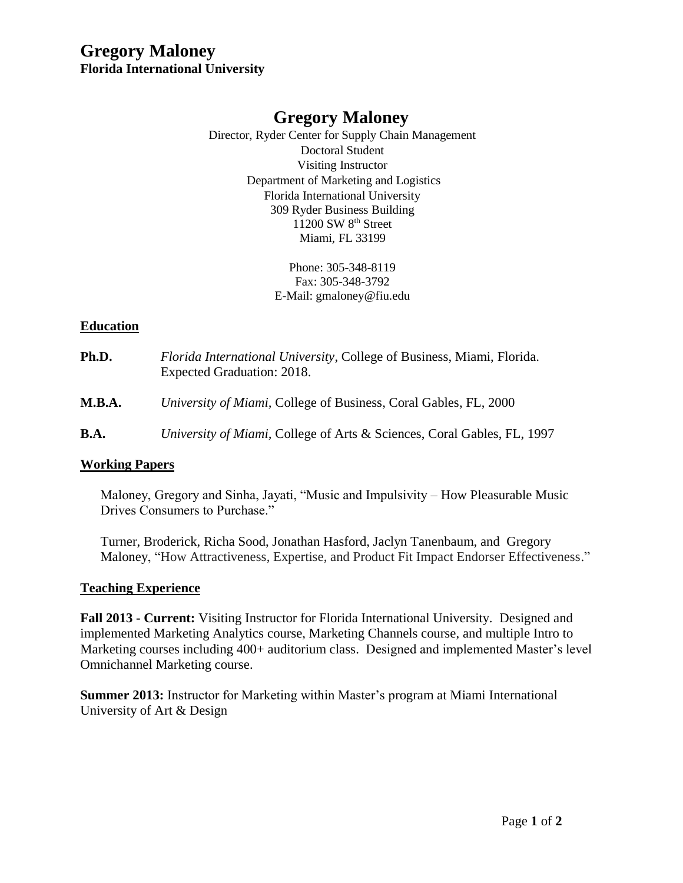# **Gregory Maloney Florida International University**

# **Gregory Maloney**

Director, Ryder Center for Supply Chain Management Doctoral Student Visiting Instructor Department of Marketing and Logistics Florida International University 309 Ryder Business Building 11200 SW 8<sup>th</sup> Street Miami, FL 33199

> Phone: 305-348-8119 Fax: 305-348-3792 E-Mail: gmaloney@fiu.edu

#### **Education**

**Ph.D.** *Florida International University*, College of Business, Miami, Florida. Expected Graduation: 2018. **M.B.A.** *University of Miami,* College of Business, Coral Gables, FL, 2000 **B.A.** *University of Miami,* College of Arts & Sciences, Coral Gables, FL, 1997

#### **Working Papers**

Maloney, Gregory and Sinha, Jayati, "Music and Impulsivity – How Pleasurable Music Drives Consumers to Purchase."

Turner, Broderick, Richa Sood, Jonathan Hasford, Jaclyn Tanenbaum, and Gregory Maloney, "How Attractiveness, Expertise, and Product Fit Impact Endorser Effectiveness."

#### **Teaching Experience**

**Fall 2013 - Current:** Visiting Instructor for Florida International University. Designed and implemented Marketing Analytics course, Marketing Channels course, and multiple Intro to Marketing courses including 400+ auditorium class. Designed and implemented Master's level Omnichannel Marketing course.

**Summer 2013:** Instructor for Marketing within Master's program at Miami International University of Art & Design